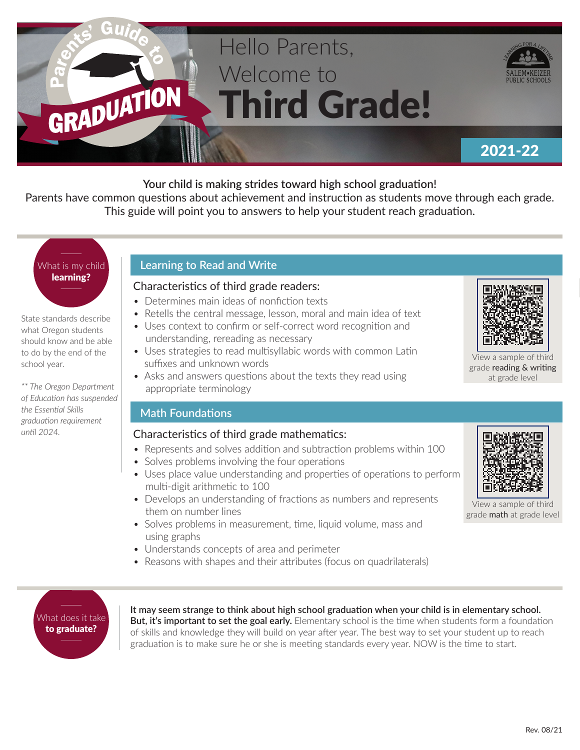# Hello Parents, Welcome to Third Grade!



### 2021-22

#### **Your child is making strides toward high school graduation!**

Parents have common questions about achievement and instruction as students move through each grade. This guide will point you to answers to help your student reach graduation.

## What is my child learning?

GRADUATION

State standards describe what Oregon students should know and be able to do by the end of the school year.

*\*\* The Oregon Department of Education has suspended the Essential Skills graduation requirement until 2024.*

#### **Learning to Read and Write**

#### Characteristics of third grade readers:

- Determines main ideas of nonfiction texts
- Retells the central message, lesson, moral and main idea of text
- Uses context to confirm or self-correct word recognition and understanding, rereading as necessary
- Uses strategies to read multisyllabic words with common Latin suffixes and unknown words
- Asks and answers questions about the texts they read using appropriate terminology

#### **Math Foundations**

#### Characteristics of third grade mathematics:

- Represents and solves addition and subtraction problems within 100
- Solves problems involving the four operations
- Uses place value understanding and properties of operations to perform multi-digit arithmetic to 100
- Develops an understanding of fractions as numbers and represents them on number lines
- Solves problems in measurement, time, liquid volume, mass and using graphs
- Understands concepts of area and perimeter
- Reasons with shapes and their attributes (focus on quadrilaterals)



View a sample of third grade reading & writing at grade level



View a sample of third grade math at grade level

What does it take to graduate?

**It may seem strange to think about high school graduation when your child is in elementary school. But, it's important to set the goal early.** Elementary school is the time when students form a foundation of skills and knowledge they will build on year after year. The best way to set your student up to reach graduation is to make sure he or she is meeting standards every year. NOW is the time to start.